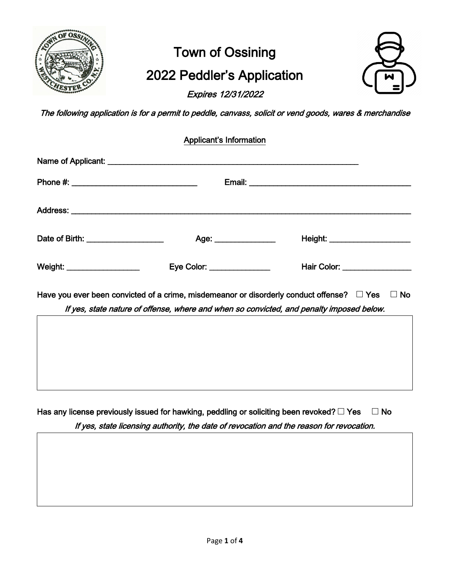

# Town of Ossining 2022 Peddler's Application

Expires 12/31/2022



The following application is for a permit to peddle, canvass, solicit or vend goods, wares & merchandise

| <b>Applicant's Information</b> |                                                                                                                                                                                                         |
|--------------------------------|---------------------------------------------------------------------------------------------------------------------------------------------------------------------------------------------------------|
|                                |                                                                                                                                                                                                         |
|                                |                                                                                                                                                                                                         |
|                                |                                                                                                                                                                                                         |
| Age: ________________          | Height: _______________________                                                                                                                                                                         |
| Eye Color: _______________     | Hair Color: __________________                                                                                                                                                                          |
|                                | Have you ever been convicted of a crime, misdemeanor or disorderly conduct offense? $\Box$ Yes<br>$\Box$ No<br>If yes, state nature of offense, where and when so convicted, and penalty imposed below. |
|                                |                                                                                                                                                                                                         |
|                                |                                                                                                                                                                                                         |
|                                |                                                                                                                                                                                                         |
|                                | Date of Birth: ____________________<br>Weight: ____________________                                                                                                                                     |

Has any license previously issued for hawking, peddling or soliciting been revoked? **□** Yes **□** No If yes, state licensing authority, the date of revocation and the reason for revocation.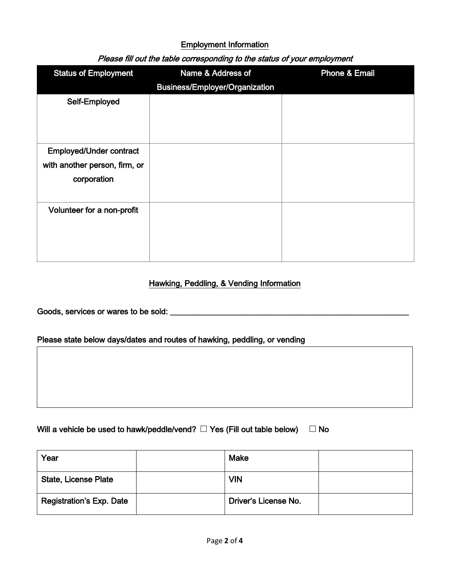#### Employment Information

| <b>Status of Employment</b>                                                    | Name & Address of<br><b>Business/Employer/Organization</b> | <b>Phone &amp; Email</b> |
|--------------------------------------------------------------------------------|------------------------------------------------------------|--------------------------|
| Self-Employed                                                                  |                                                            |                          |
| <b>Employed/Under contract</b><br>with another person, firm, or<br>corporation |                                                            |                          |
| Volunteer for a non-profit                                                     |                                                            |                          |

## Please fill out the table corresponding to the status of your employment

#### Hawking, Peddling, & Vending Information

Goods, services or wares to be sold: \_\_\_\_\_\_\_\_\_\_\_\_\_\_\_\_\_\_\_\_\_\_\_\_\_\_\_\_\_\_\_\_\_\_\_\_\_\_\_\_\_\_\_\_\_\_\_\_\_\_\_\_\_\_\_\_\_\_\_

#### Please state below days/dates and routes of hawking, peddling, or vending

| Will a vehicle be used to hawk/peddle/vend? $\square$ Yes (Fill out table below) $\square$ No |  |
|-----------------------------------------------------------------------------------------------|--|
|-----------------------------------------------------------------------------------------------|--|

| Year                            | <b>Make</b>          |  |
|---------------------------------|----------------------|--|
| <b>State, License Plate</b>     | <b>VIN</b>           |  |
| <b>Registration's Exp. Date</b> | Driver's License No. |  |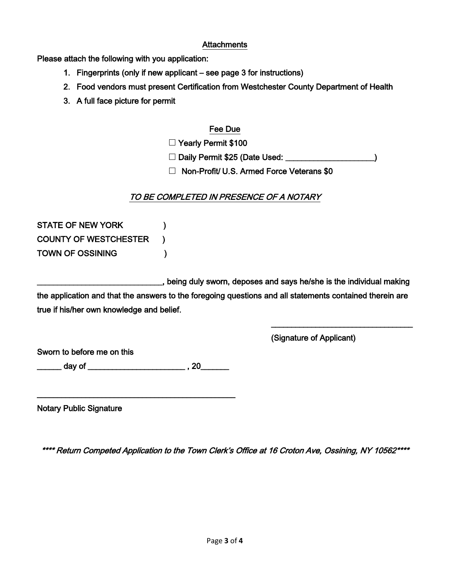#### **Attachments**

Please attach the following with you application:

- 1. Fingerprints (only if new applicant see page 3 for instructions)
- 2. Food vendors must present Certification from Westchester County Department of Health
- 3. A full face picture for permit

### Fee Due

**□** Yearly Permit \$100

**□** Daily Permit \$25 (Date Used: \_\_\_\_\_\_\_\_\_\_\_\_\_\_\_\_\_\_\_\_\_\_)

**□** Non-Profit/ U.S. Armed Force Veterans \$0

# TO BE COMPLETED IN PRESENCE OF A NOTARY

STATE OF NEW YORK (1998) COUNTY OF WESTCHESTER ) TOWN OF OSSINING (1)

\_\_\_\_\_\_\_\_\_\_\_\_\_\_\_\_\_\_\_\_\_\_\_\_\_\_\_\_\_\_\_, being duly sworn, deposes and says he/she is the individual making the application and that the answers to the foregoing questions and all statements contained therein are true if his/her own knowledge and belief.

 $\overline{\phantom{a}}$  , which is a set of the set of the set of the set of the set of the set of the set of the set of the set of the set of the set of the set of the set of the set of the set of the set of the set of the set of th

(Signature of Applicant)

Sworn to before me on this

\_\_\_\_ day of \_\_\_\_\_\_\_\_\_\_\_\_\_\_\_\_\_\_\_\_\_\_\_\_\_\_\_\_\_\_\_ , 20\_\_\_\_\_\_\_\_

\_\_\_\_\_\_\_\_\_\_\_\_\_\_\_\_\_\_\_\_\_\_\_\_\_\_\_\_\_\_\_\_\_\_\_\_\_\_\_\_\_\_\_\_\_\_\_\_\_

Notary Public Signature

\*\*\*\* Return Competed Application to the Town Clerk's Office at 16 Croton Ave, Ossining, NY 10562\*\*\*\*